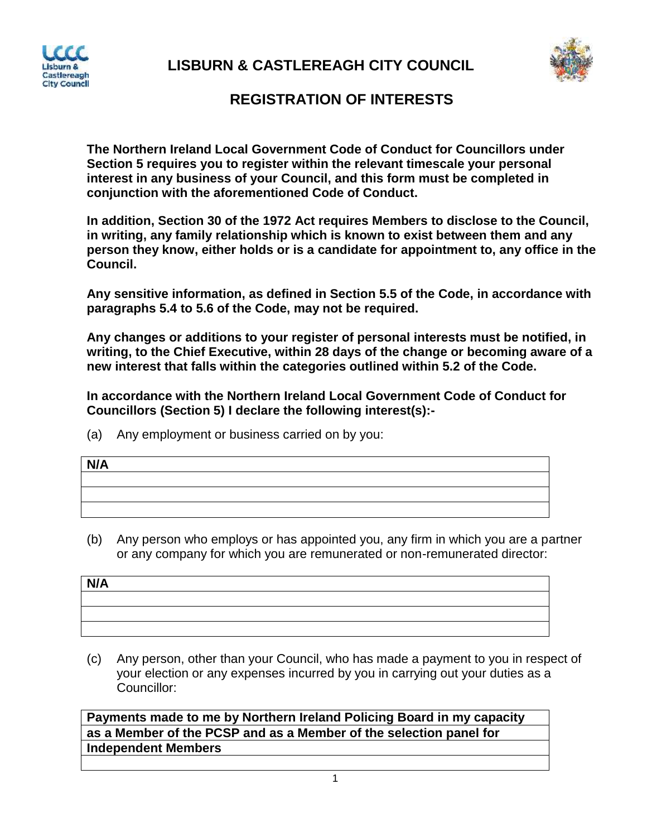

**LISBURN & CASTLEREAGH CITY COUNCIL**



## **REGISTRATION OF INTERESTS**

**The Northern Ireland Local Government Code of Conduct for Councillors under Section 5 requires you to register within the relevant timescale your personal interest in any business of your Council, and this form must be completed in conjunction with the aforementioned Code of Conduct.**

**In addition, Section 30 of the 1972 Act requires Members to disclose to the Council, in writing, any family relationship which is known to exist between them and any person they know, either holds or is a candidate for appointment to, any office in the Council.**

**Any sensitive information, as defined in Section 5.5 of the Code, in accordance with paragraphs 5.4 to 5.6 of the Code, may not be required.**

**Any changes or additions to your register of personal interests must be notified, in writing, to the Chief Executive, within 28 days of the change or becoming aware of a new interest that falls within the categories outlined within 5.2 of the Code.**

**In accordance with the Northern Ireland Local Government Code of Conduct for Councillors (Section 5) I declare the following interest(s):-**

(a) Any employment or business carried on by you:

| N/A |  |  |
|-----|--|--|
|     |  |  |
|     |  |  |
|     |  |  |

(b) Any person who employs or has appointed you, any firm in which you are a partner or any company for which you are remunerated or non-remunerated director:

| N/A |  |
|-----|--|
|     |  |
|     |  |
|     |  |

(c) Any person, other than your Council, who has made a payment to you in respect of your election or any expenses incurred by you in carrying out your duties as a Councillor:

**Payments made to me by Northern Ireland Policing Board in my capacity as a Member of the PCSP and as a Member of the selection panel for Independent Members**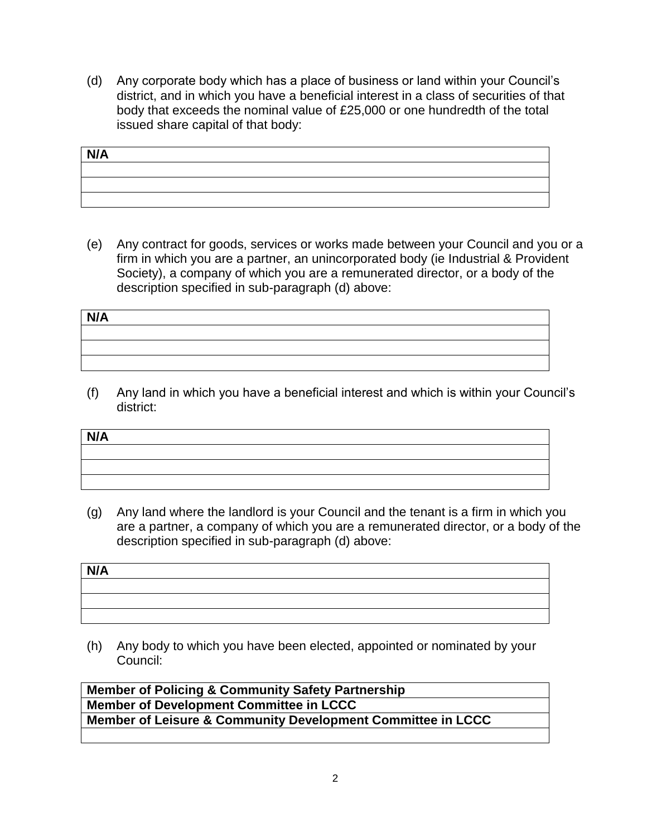(d) Any corporate body which has a place of business or land within your Council's district, and in which you have a beneficial interest in a class of securities of that body that exceeds the nominal value of £25,000 or one hundredth of the total issued share capital of that body:

| N/A |  |  |
|-----|--|--|
|     |  |  |
|     |  |  |
|     |  |  |

(e) Any contract for goods, services or works made between your Council and you or a firm in which you are a partner, an unincorporated body (ie Industrial & Provident Society), a company of which you are a remunerated director, or a body of the description specified in sub-paragraph (d) above:

| N/A |  |  |  |
|-----|--|--|--|
|     |  |  |  |
|     |  |  |  |
|     |  |  |  |
|     |  |  |  |

(f) Any land in which you have a beneficial interest and which is within your Council's district:

| N/A |  |
|-----|--|
|     |  |
|     |  |
|     |  |

(g) Any land where the landlord is your Council and the tenant is a firm in which you are a partner, a company of which you are a remunerated director, or a body of the description specified in sub-paragraph (d) above:

| N/A |  |  |
|-----|--|--|
|     |  |  |
|     |  |  |
|     |  |  |
|     |  |  |

(h) Any body to which you have been elected, appointed or nominated by your Council:

**Member of Policing & Community Safety Partnership Member of Development Committee in LCCC Member of Leisure & Community Development Committee in LCCC**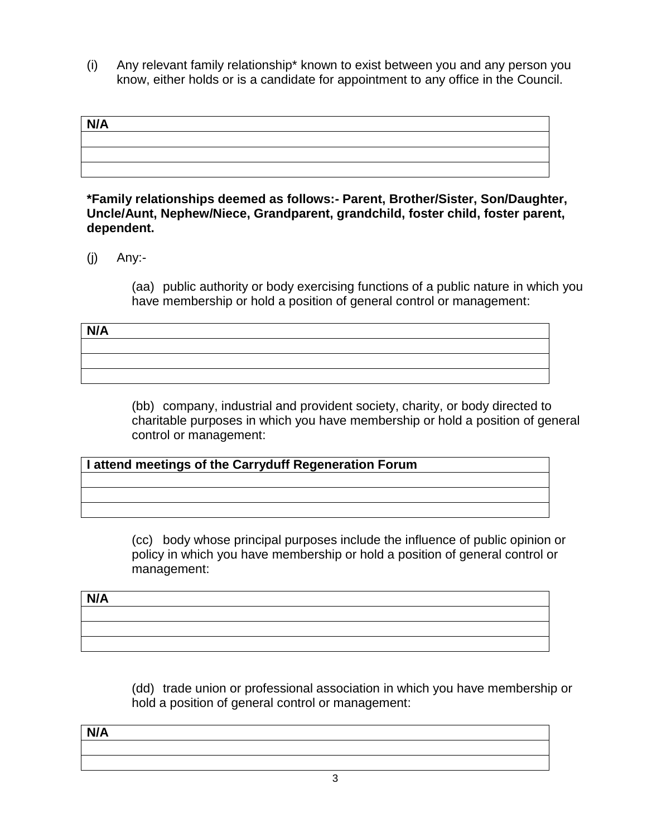(i) Any relevant family relationship\* known to exist between you and any person you know, either holds or is a candidate for appointment to any office in the Council.

| N/A |  |  |
|-----|--|--|
|     |  |  |
|     |  |  |
|     |  |  |

## **\*Family relationships deemed as follows:- Parent, Brother/Sister, Son/Daughter, Uncle/Aunt, Nephew/Niece, Grandparent, grandchild, foster child, foster parent, dependent.**

 $(i)$  Any:-

(aa) public authority or body exercising functions of a public nature in which you have membership or hold a position of general control or management:

| N/A |  |
|-----|--|
|     |  |
|     |  |
|     |  |

(bb) company, industrial and provident society, charity, or body directed to charitable purposes in which you have membership or hold a position of general control or management:

**I attend meetings of the Carryduff Regeneration Forum** 

(cc) body whose principal purposes include the influence of public opinion or policy in which you have membership or hold a position of general control or management:

| N/A |  |  |
|-----|--|--|
|     |  |  |
|     |  |  |
|     |  |  |

(dd) trade union or professional association in which you have membership or hold a position of general control or management:

| N/A |  |  |  |
|-----|--|--|--|
|     |  |  |  |
|     |  |  |  |
|     |  |  |  |